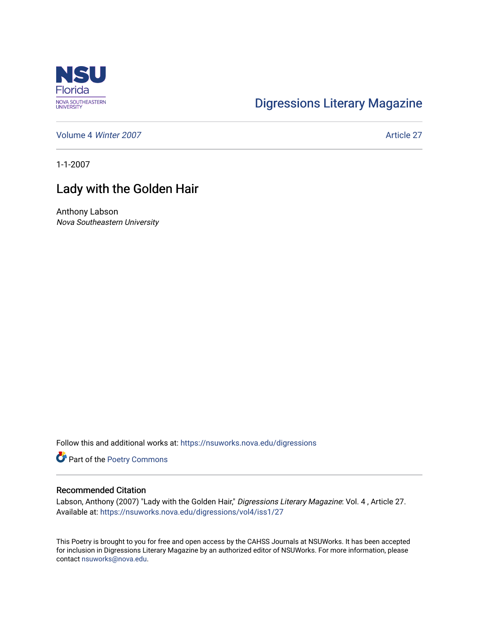

## [Digressions Literary Magazine](https://nsuworks.nova.edu/digressions)

[Volume 4](https://nsuworks.nova.edu/digressions/vol4) Winter 2007 **Article 27** Article 27

1-1-2007

## Lady with the Golden Hair

Anthony Labson Nova Southeastern University

Follow this and additional works at: [https://nsuworks.nova.edu/digressions](https://nsuworks.nova.edu/digressions?utm_source=nsuworks.nova.edu%2Fdigressions%2Fvol4%2Fiss1%2F27&utm_medium=PDF&utm_campaign=PDFCoverPages) 

Part of the [Poetry Commons](http://network.bepress.com/hgg/discipline/1153?utm_source=nsuworks.nova.edu%2Fdigressions%2Fvol4%2Fiss1%2F27&utm_medium=PDF&utm_campaign=PDFCoverPages) 

## Recommended Citation

Labson, Anthony (2007) "Lady with the Golden Hair," Digressions Literary Magazine: Vol. 4, Article 27. Available at: [https://nsuworks.nova.edu/digressions/vol4/iss1/27](https://nsuworks.nova.edu/digressions/vol4/iss1/27?utm_source=nsuworks.nova.edu%2Fdigressions%2Fvol4%2Fiss1%2F27&utm_medium=PDF&utm_campaign=PDFCoverPages) 

This Poetry is brought to you for free and open access by the CAHSS Journals at NSUWorks. It has been accepted for inclusion in Digressions Literary Magazine by an authorized editor of NSUWorks. For more information, please contact [nsuworks@nova.edu.](mailto:nsuworks@nova.edu)